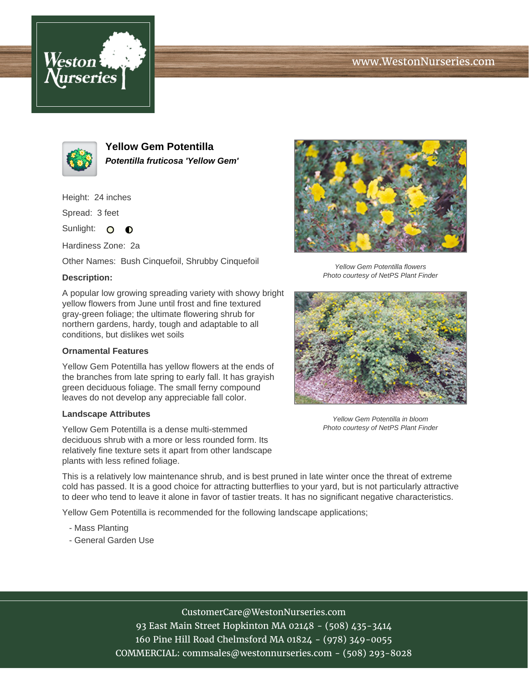# www.WestonNurseries.com





**Yellow Gem Potentilla Potentilla fruticosa 'Yellow Gem'**

Height: 24 inches

Spread: 3 feet

Sunlight: O  $\bullet$ 

Hardiness Zone: 2a

Other Names: Bush Cinquefoil, Shrubby Cinquefoil

## **Description:**

A popular low growing spreading variety with showy bright yellow flowers from June until frost and fine textured gray-green foliage; the ultimate flowering shrub for northern gardens, hardy, tough and adaptable to all conditions, but dislikes wet soils

### **Ornamental Features**

Yellow Gem Potentilla has yellow flowers at the ends of the branches from late spring to early fall. It has grayish green deciduous foliage. The small ferny compound leaves do not develop any appreciable fall color.

#### **Landscape Attributes**

Yellow Gem Potentilla is a dense multi-stemmed deciduous shrub with a more or less rounded form. Its relatively fine texture sets it apart from other landscape plants with less refined foliage.



Yellow Gem Potentilla flowers Photo courtesy of NetPS Plant Finder



Yellow Gem Potentilla in bloom Photo courtesy of NetPS Plant Finder

This is a relatively low maintenance shrub, and is best pruned in late winter once the threat of extreme cold has passed. It is a good choice for attracting butterflies to your yard, but is not particularly attractive to deer who tend to leave it alone in favor of tastier treats. It has no significant negative characteristics.

Yellow Gem Potentilla is recommended for the following landscape applications;

- Mass Planting
- General Garden Use

CustomerCare@WestonNurseries.com 93 East Main Street Hopkinton MA 02148 - (508) 435-3414 160 Pine Hill Road Chelmsford MA 01824 - (978) 349-0055 COMMERCIAL: commsales@westonnurseries.com - (508) 293-8028